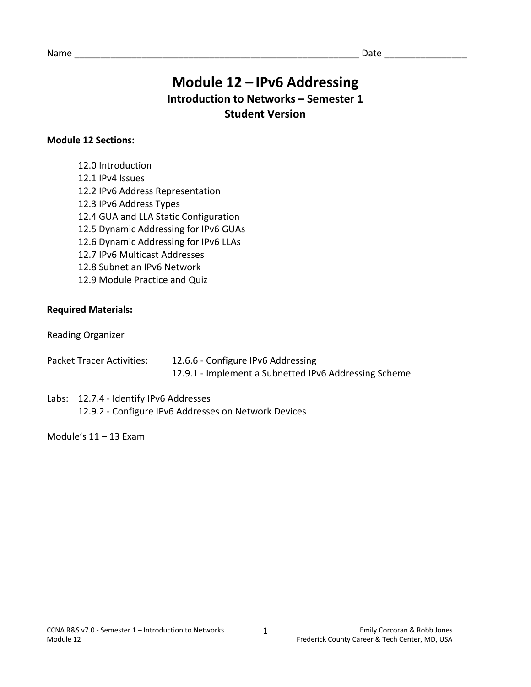# **Module 12 – IPv6 Addressing Introduction to Networks – Semester 1**

**Student Version**

### **Module 12 Sections:**

- 12.0 Introduction
- 12.1 IPv4 Issues
- 12.2 IPv6 Address Representation
- 12.3 IPv6 Address Types
- 12.4 GUA and LLA Static Configuration
- 12.5 Dynamic Addressing for IPv6 GUAs
- 12.6 Dynamic Addressing for IPv6 LLAs
- 12.7 IPv6 Multicast Addresses
- 12.8 Subnet an IPv6 Network
- 12.9 Module Practice and Quiz

### **Required Materials:**

- Reading Organizer
- Packet Tracer Activities: 12.6.6 Configure IPv6 Addressing 12.9.1 - Implement a Subnetted IPv6 Addressing Scheme
- Labs: 12.7.4 Identify IPv6 Addresses 12.9.2 - Configure IPv6 Addresses on Network Devices

Module's  $11 - 13$  Exam

1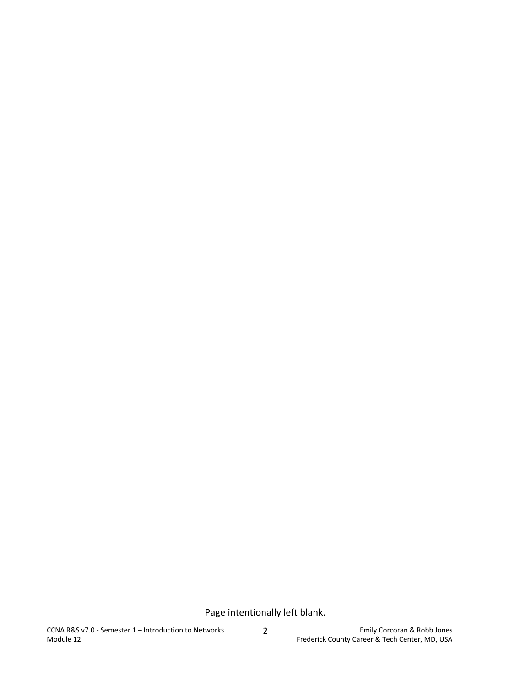Page intentionally left blank.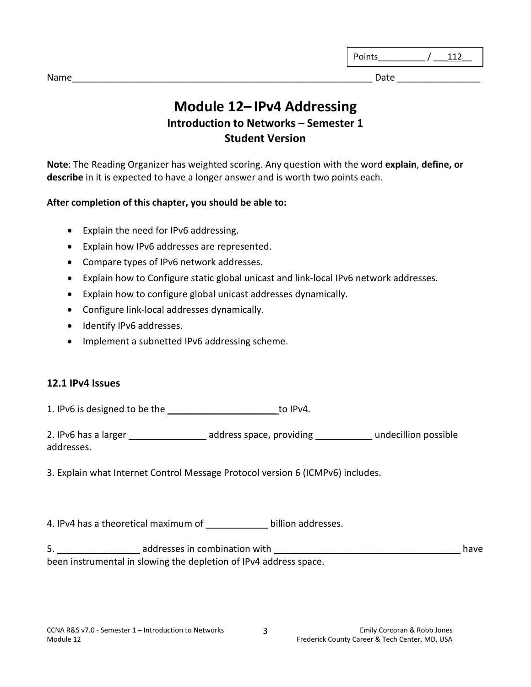Name\_\_\_\_\_\_\_\_\_\_\_\_\_\_\_\_\_\_\_\_\_\_\_\_\_\_\_\_\_\_\_\_\_\_\_\_\_\_\_\_\_\_\_\_\_\_\_\_\_\_\_\_\_\_\_\_\_\_ Date \_\_\_\_\_\_\_\_\_\_\_\_\_\_\_\_

# **Module 12– IPv4 Addressing Introduction to Networks – Semester 1 Student Version**

**Note**: The Reading Organizer has weighted scoring. Any question with the word **explain**, **define, or describe** in it is expected to have a longer answer and is worth two points each.

## **After completion of this chapter, you should be able to:**

- Explain the need for IPv6 addressing.
- Explain how IPv6 addresses are represented.
- Compare types of IPv6 network addresses.
- Explain how to Configure static global unicast and link-local IPv6 network addresses.
- Explain how to configure global unicast addresses dynamically.
- Configure link-local addresses dynamically.
- Identify IPv6 addresses.
- Implement a subnetted IPv6 addressing scheme.

# **12.1 IPv4 Issues**

1. IPv6 is designed to be the \_\_\_\_\_\_\_\_\_\_\_\_\_\_\_\_\_\_\_\_\_ to IPv4.

2. IPv6 has a larger \_\_\_\_\_\_\_\_\_\_\_\_\_\_\_\_\_\_\_ address space, providing \_\_\_\_\_\_\_\_\_\_\_\_\_ undecillion possible addresses.

3. Explain what Internet Control Message Protocol version 6 (ICMPv6) includes.

4. IPv4 has a theoretical maximum of \_\_\_\_\_\_\_\_\_\_\_\_\_\_ billion addresses.

5. **Example 3** and the state of addresses in combination with  $\frac{1}{2}$  and  $\frac{1}{2}$  have been instrumental in slowing the depletion of IPv4 address space.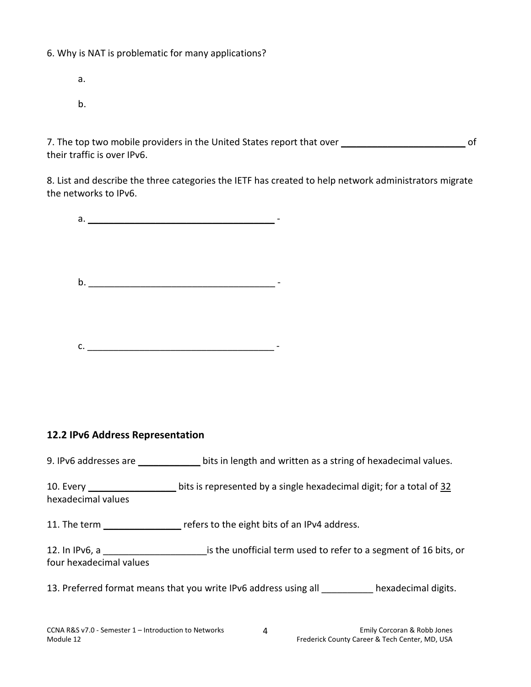6. Why is NAT is problematic for many applications?

a.

b.

7. The top two mobile providers in the United States report that over \_\_\_\_\_\_\_\_\_\_\_\_\_\_\_\_\_\_\_\_\_\_\_\_ of their traffic is over IPv6.

8. List and describe the three categories the IETF has created to help network administrators migrate the networks to IPv6.

a.  $\frac{1}{2}$  $b.$ c. \_\_\_\_\_\_\_\_\_\_\_\_\_\_\_\_\_\_\_\_\_\_\_\_\_\_\_\_\_\_\_\_\_\_\_\_ -

# **12.2 IPv6 Address Representation**

9. IPv6 addresses are \_\_\_\_\_\_\_\_\_\_\_\_\_\_\_ bits in length and written as a string of hexadecimal values.

10. Every \_\_\_\_\_\_\_\_\_\_\_\_\_\_\_\_\_\_\_\_\_\_ bits is represented by a single hexadecimal digit; for a total of 32 hexadecimal values

11. The term \_\_\_\_\_\_\_\_\_\_\_\_\_\_\_\_\_ refers to the eight bits of an IPv4 address.

12. In IPv6, a \_\_\_\_\_\_\_\_\_\_\_\_\_\_\_\_\_\_\_\_\_\_\_\_\_\_\_\_\_\_is the unofficial term used to refer to a segment of 16 bits, or four hexadecimal values

13. Preferred format means that you write IPv6 address using all \_\_\_\_\_\_\_\_\_\_ hexadecimal digits.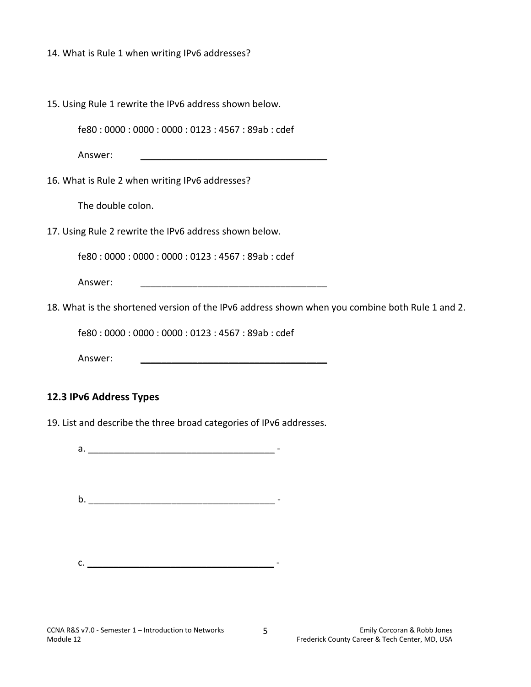14. What is Rule 1 when writing IPv6 addresses?

|  |  |  |  |  |  | 15. Using Rule 1 rewrite the IPv6 address shown below. |  |  |
|--|--|--|--|--|--|--------------------------------------------------------|--|--|
|--|--|--|--|--|--|--------------------------------------------------------|--|--|

fe80 : 0000 : 0000 : 0000 : 0123 : 4567 : 89ab : cdef

Answer:

16. What is Rule 2 when writing IPv6 addresses?

The double colon.

17. Using Rule 2 rewrite the IPv6 address shown below.

fe80 : 0000 : 0000 : 0000 : 0123 : 4567 : 89ab : cdef

Answer:

18. What is the shortened version of the IPv6 address shown when you combine both Rule 1 and 2.

fe80 : 0000 : 0000 : 0000 : 0123 : 4567 : 89ab : cdef

Answer:

#### **12.3 IPv6 Address Types**

19. List and describe the three broad categories of IPv6 addresses.

a.  $\frac{1}{2}$ 

b. \_\_\_\_\_\_\_\_\_\_\_\_\_\_\_\_\_\_\_\_\_\_\_\_\_\_\_\_\_\_\_\_\_\_\_\_ -

c. \_\_\_\_\_\_\_\_\_\_\_\_\_\_\_\_\_\_\_\_\_\_\_\_\_\_\_\_\_\_\_\_\_\_\_\_ -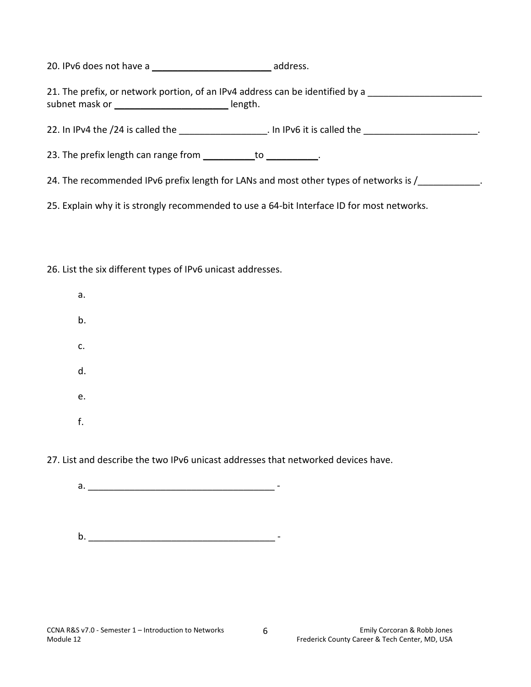| 20. IPv6 does not have a | address. |
|--------------------------|----------|
|--------------------------|----------|

21. The prefix, or network portion, of an IPv4 address can be identified by a subnet mask or \_\_\_\_\_\_\_\_\_\_\_\_\_\_\_\_\_\_\_\_\_\_\_\_\_\_\_\_\_ length.

22. In IPv4 the /24 is called the \_\_\_\_\_\_\_\_\_\_\_\_\_\_\_\_\_\_\_. In IPv6 it is called the \_\_\_\_\_\_\_\_\_\_\_\_\_\_\_\_\_\_\_\_\_..

23. The prefix length can range from \_\_\_\_\_\_\_\_\_\_to \_\_\_\_\_\_\_\_\_\_.

24. The recommended IPv6 prefix length for LANs and most other types of networks is /\_\_\_\_\_\_\_\_\_\_\_\_.

25. Explain why it is strongly recommended to use a 64-bit Interface ID for most networks.

26. List the six different types of IPv6 unicast addresses.

| а. |  |  |  |
|----|--|--|--|
| b. |  |  |  |
| c. |  |  |  |
| d. |  |  |  |
| e. |  |  |  |
| f. |  |  |  |

27. List and describe the two IPv6 unicast addresses that networked devices have.

| a. |  |  |  |
|----|--|--|--|
|    |  |  |  |
|    |  |  |  |
| b. |  |  |  |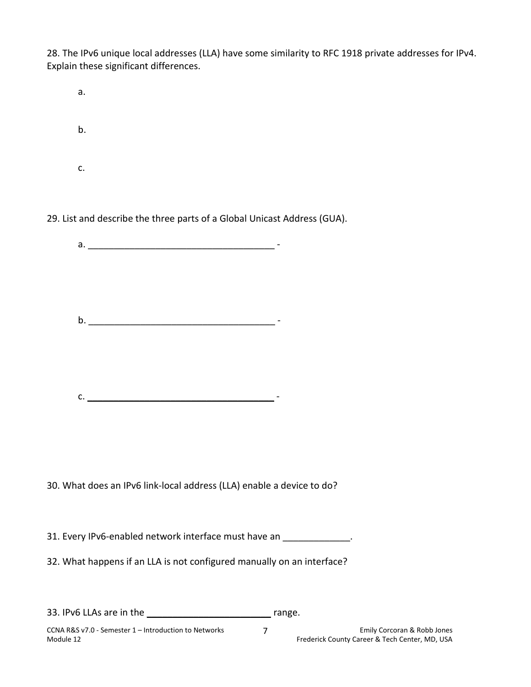28. The IPv6 unique local addresses (LLA) have some similarity to RFC 1918 private addresses for IPv4. Explain these significant differences.

| а. |  |  |  |
|----|--|--|--|
| b. |  |  |  |
| c. |  |  |  |

29. List and describe the three parts of a Global Unicast Address (GUA).

| а.                                                                     |                |                                                                               |
|------------------------------------------------------------------------|----------------|-------------------------------------------------------------------------------|
|                                                                        |                |                                                                               |
|                                                                        |                |                                                                               |
|                                                                        |                |                                                                               |
| b. $\qquad \qquad$                                                     |                |                                                                               |
|                                                                        |                |                                                                               |
|                                                                        |                |                                                                               |
|                                                                        |                |                                                                               |
| $c.$ $\overline{\phantom{a}}$                                          |                |                                                                               |
|                                                                        |                |                                                                               |
|                                                                        |                |                                                                               |
|                                                                        |                |                                                                               |
|                                                                        |                |                                                                               |
| 30. What does an IPv6 link-local address (LLA) enable a device to do?  |                |                                                                               |
|                                                                        |                |                                                                               |
|                                                                        |                |                                                                               |
| 31. Every IPv6-enabled network interface must have an _____________.   |                |                                                                               |
| 32. What happens if an LLA is not configured manually on an interface? |                |                                                                               |
|                                                                        |                |                                                                               |
|                                                                        |                |                                                                               |
|                                                                        |                |                                                                               |
| CCNA R&S v7.0 - Semester 1 - Introduction to Networks<br>Module 12     | $\overline{7}$ | Emily Corcoran & Robb Jones<br>Frederick County Career & Tech Center, MD, USA |

Frederick County Career & Tech Center, MD, USA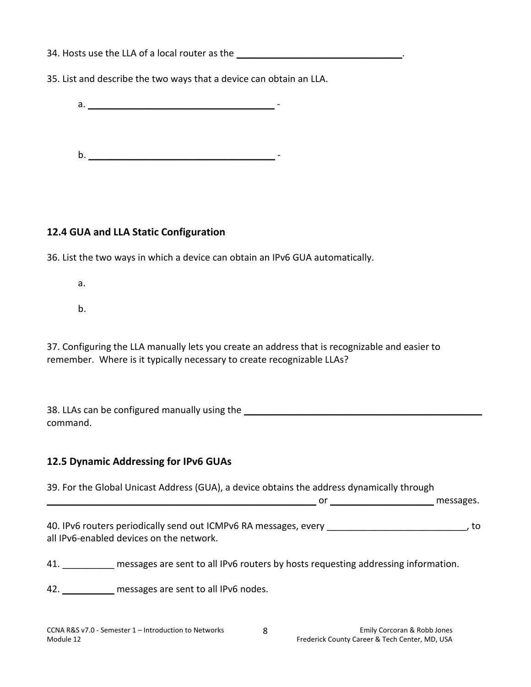34. Hosts use the LLA of a local router as the

35. List and describe the two ways that a device can obtain an LLA.

a.  $\blacksquare$ 

 $b.$ 

# **12.4 GUA and LLA Static Configuration**

36. List the two ways in which a device can obtain an IPv6 GUA automatically.

a.

b.

37. Configuring the LLA manually lets you create an address that is recognizable and easier to remember. Where is it typically necessary to create recognizable LLAs?

38. LLAs can be configured manually using the \_\_\_\_\_\_\_\_\_\_\_\_\_\_\_\_\_\_\_\_\_\_\_\_\_\_\_\_\_\_\_\_\_\_ command.

# **12.5 Dynamic Addressing for IPv6 GUAs**

39. For the Global Unicast Address (GUA), a device obtains the address dynamically through

\_\_\_\_\_\_\_\_\_\_\_\_\_\_\_\_\_\_\_\_\_\_\_\_\_\_\_\_\_\_\_\_\_\_\_\_\_\_\_\_\_\_\_\_\_\_\_\_\_\_\_\_ or \_\_\_\_\_\_\_\_\_\_\_\_\_\_\_\_\_\_\_\_ messages.

40. IPv6 routers periodically send out ICMPv6 RA messages, every \_\_\_\_\_\_\_\_\_\_\_\_\_\_\_\_\_\_\_\_\_\_\_\_\_\_\_\_, to all IPv6-enabled devices on the network.

41. \_\_\_\_\_\_\_\_\_\_ messages are sent to all IPv6 routers by hosts requesting addressing information.

42. \_\_\_\_\_\_\_\_\_\_\_\_ messages are sent to all IPv6 nodes.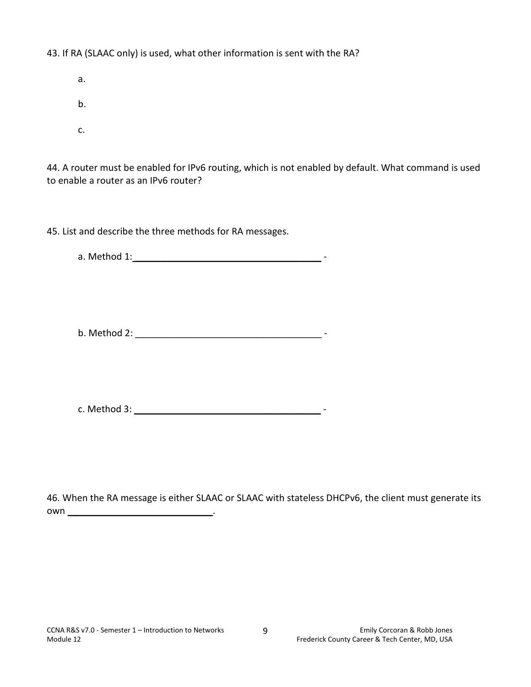43. If RA (SLAAC only) is used, what other information is sent with the RA?

a. b. c.

44. A router must be enabled for IPv6 routing, which is not enabled by default. What command is used to enable a router as an IPv6 router?

45. List and describe the three methods for RA messages.

a. Method 1: \_\_\_\_\_\_\_\_\_\_\_\_\_\_\_\_\_\_\_\_\_\_\_\_\_\_\_\_\_\_\_\_\_\_\_\_ -

b. Method 2: \_\_\_\_\_\_\_\_\_\_\_\_\_\_\_\_\_\_\_\_\_\_\_\_\_\_\_\_\_\_\_\_\_\_\_\_ -

c. Method 3: \_\_\_\_\_\_\_\_\_\_\_\_\_\_\_\_\_\_\_\_\_\_\_\_\_\_\_\_\_\_\_\_\_\_\_\_ -

46. When the RA message is either SLAAC or SLAAC with stateless DHCPv6, the client must generate its own \_\_\_\_\_\_\_\_\_\_\_\_\_\_\_\_\_\_\_\_\_\_\_\_\_\_\_\_.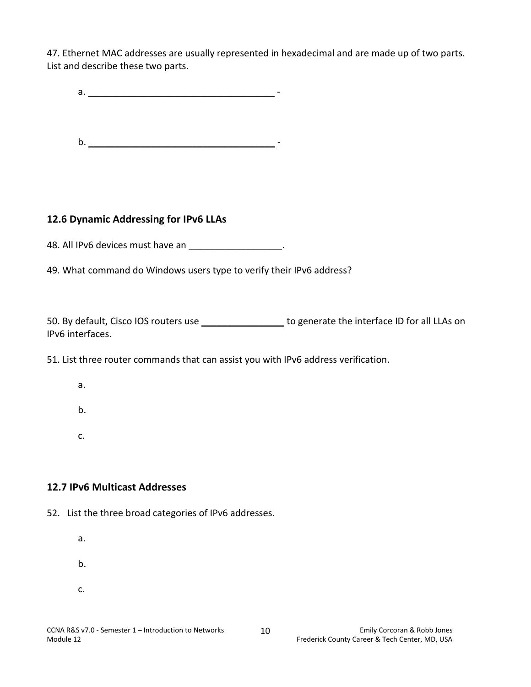47. Ethernet MAC addresses are usually represented in hexadecimal and are made up of two parts. List and describe these two parts.

a.  $\frac{1}{2}$ 

b.  $\Box$ 

## **12.6 Dynamic Addressing for IPv6 LLAs**

48. All IPv6 devices must have an \_\_\_\_\_\_\_\_\_\_\_\_\_\_\_\_\_\_\_\_.

49. What command do Windows users type to verify their IPv6 address?

50. By default, Cisco IOS routers use \_\_\_\_\_\_\_\_\_\_\_\_\_\_\_\_\_\_\_ to generate the interface ID for all LLAs on IPv6 interfaces.

51. List three router commands that can assist you with IPv6 address verification.

- a.
- b.
- c.

**12.7 IPv6 Multicast Addresses**

- 52. List the three broad categories of IPv6 addresses.
	- a.
	- b.
	- c.